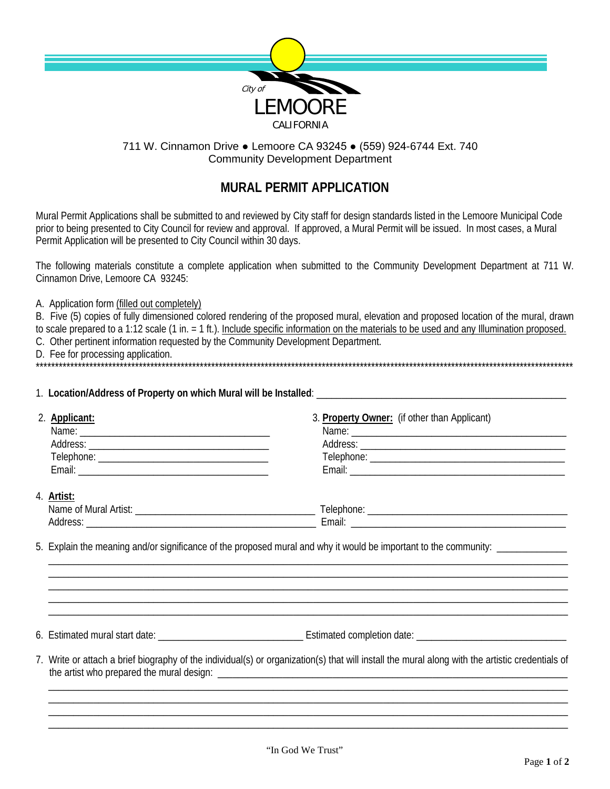

## 711 W. Cinnamon Drive • Lemoore CA 93245 • (559) 924-6744 Ext. 740 **Community Development Department**

## **MURAL PERMIT APPLICATION**

Mural Permit Applications shall be submitted to and reviewed by City staff for design standards listed in the Lemoore Municipal Code prior to being presented to City Council for review and approval. If approved, a Mural Permit will be issued. In most cases, a Mural Permit Application will be presented to City Council within 30 days.

The following materials constitute a complete application when submitted to the Community Development Department at 711 W. Cinnamon Drive, Lemoore CA 93245:

A. Application form (filled out completely)

B. Five (5) copies of fully dimensioned colored rendering of the proposed mural, elevation and proposed location of the mural, drawn to scale prepared to a 1:12 scale (1 in. = 1 ft.). Include specific information on the materials to be used and any Illumination proposed. C. Other pertinent information requested by the Community Development Department. 0. Outor portuon them of the contract of the contract of the form of the form of the contract of the form of the contract of the contract of the contract of the contract of the contract of the contract of the contract of t

| 2. Applicant:                               | 3. Property Owner: (if other than Applicant) |  |  |
|---------------------------------------------|----------------------------------------------|--|--|
|                                             |                                              |  |  |
|                                             |                                              |  |  |
|                                             |                                              |  |  |
|                                             |                                              |  |  |
| 4. Artist:                                  |                                              |  |  |
| Name of Mural Artist: Name of Mural Artist: |                                              |  |  |
|                                             |                                              |  |  |

5. Explain the meaning and/or significance of the proposed mural and why it would be important to the community: \_\_\_\_\_\_\_\_\_\_\_

7. Write or attach a brief biography of the individual(s) or organization(s) that will install the mural along with the artistic credentials of